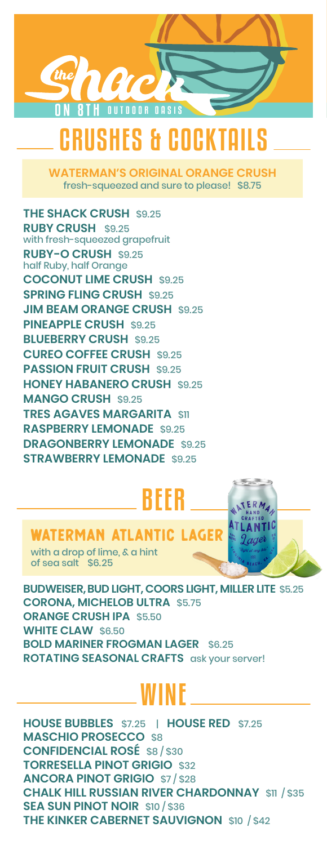

# CRUSHES & COCKTAILS

**WATERMAN'S ORIGINAL ORANGE CRUSH** fresh-squeezed and sure to please! \$8.75

**THE SHACK CRUSH** \$9.25 **RUBY CRUSH** \$9.25 with fresh-squeezed grapefruit **RUBY-O CRUSH** \$9.25 half Ruby, half Orange **COCONUT LIME CRUSH** \$9.25 **SPRING FLING CRUSH** \$9.25 **JIM BEAM ORANGE CRUSH \$9.25 PINEAPPLE CRUSH \$9.25 BLUEBERRY CRUSH** \$9.25 **CUREO COFFEE CRUSH** \$9.25 **PASSION FRUIT CRUSH** \$9.25 **HONEY HABANERO CRUSH** \$9.25 **MANGO CRUSH** \$9.25 **TRES AGAVES MARGARITA** \$11 **RASPBERRY LEMONADE** \$9.25 **DRAGONBERRY LEMONADE** \$9.25 **STRAWBERRY LEMONADE** \$9.25

# BEER

## **IATERMAN ATLANTIC**

with a drop of lime, & a hint of sea salt \$6.25

**BUDWEISER, BUD LIGHT, COORS LIGHT, MILLER LITE** \$5.25 **CORONA, MICHELOB ULTRA** \$5.75 **ORANGE CRUSH IPA** \$5.50 **WHITE CLAW** \$6.50 **BOLD MARINER FROGMAN LAGER** \$6.25 **ROTATING SEASONAL CRAFTS** ask your server!

# WINE

**HOUSE BUBBLES** \$7.25 | **HOUSE RED** \$7.25 **MASCHIO PROSECCO** \$8 **CONFIDENCIAL ROSÉ** \$8 / \$30 **TORRESELLA PINOT GRIGIO** \$32 **ANCORA PINOT GRIGIO** \$7 / \$28 **CHALK HILL RUSSIAN RIVER CHARDONNAY** \$11 / \$35 **SEA SUN PINOT NOIR** \$10 / \$36 **THE KINKER CABERNET SAUVIGNON** \$10 / \$42